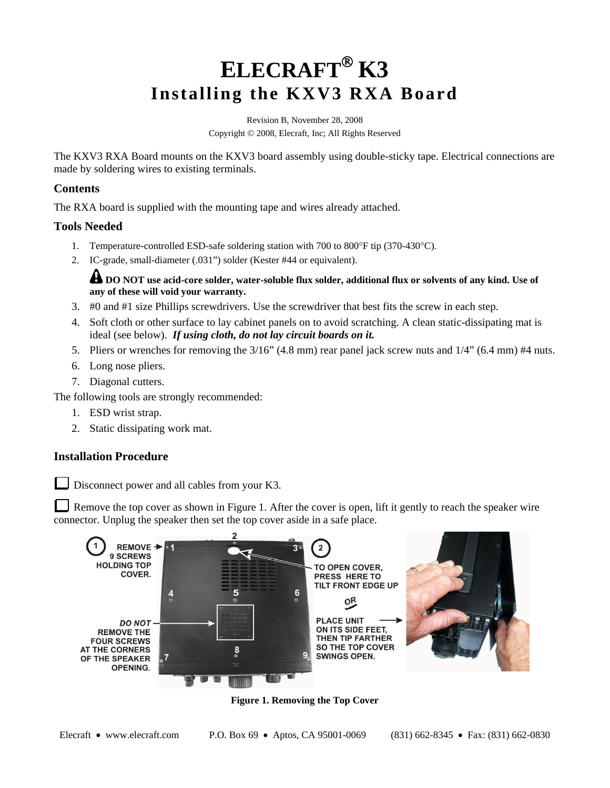# **ELECRAFT K3 Installing the KXV3 RXA Board**

Revision B, November 28, 2008 Copyright © 2008, Elecraft, Inc; All Rights Reserved

The KXV3 RXA Board mounts on the KXV3 board assembly using double-sticky tape. Electrical connections are made by soldering wires to existing terminals.

#### **Contents**

The RXA board is supplied with the mounting tape and wires already attached.

#### **Tools Needed**

- 1. Temperature-controlled ESD-safe soldering station with 700 to 800°F tip (370-430°C).
- 2. IC-grade, small-diameter (.031") solder (Kester #44 or equivalent).

**4** DO NOT use acid-core solder, water-soluble flux solder, additional flux or solvents of any kind. Use of **any of these will void your warranty.** 

- 3. #0 and #1 size Phillips screwdrivers. Use the screwdriver that best fits the screw in each step.
- 4. Soft cloth or other surface to lay cabinet panels on to avoid scratching. A clean static-dissipating mat is ideal (see below). *If using cloth, do not lay circuit boards on it.*
- 5. Pliers or wrenches for removing the 3/16" (4.8 mm) rear panel jack screw nuts and 1/4" (6.4 mm) #4 nuts.
- 6. Long nose pliers.
- 7. Diagonal cutters.

The following tools are strongly recommended:

- 1. ESD wrist strap.
- 2. Static dissipating work mat.

### **Installation Procedure**

Disconnect power and all cables from your K3.

Remove the top cover as shown in Figure 1. After the cover is open, lift it gently to reach the speaker wire connector. Unplug the speaker then set the top cover aside in a safe place.



**Figure 1. Removing the Top Cover**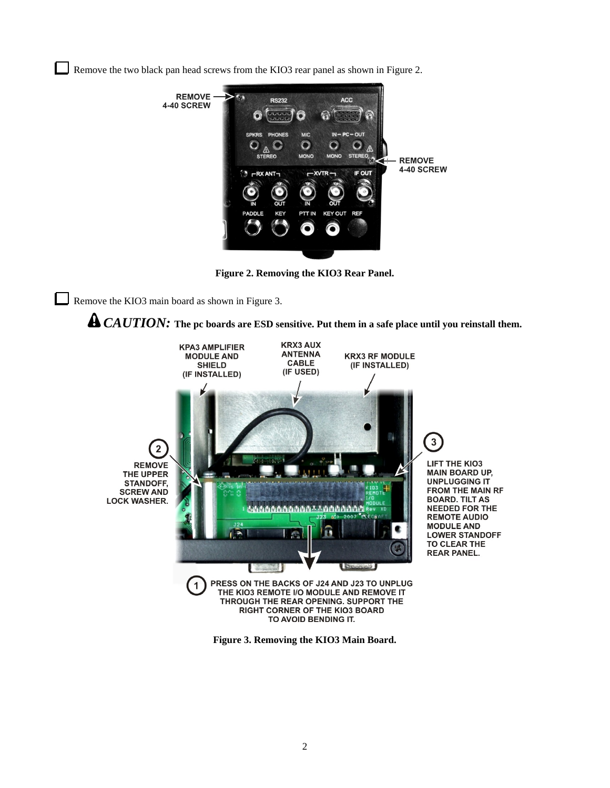Remove the two black pan head screws from the KIO3 rear panel as shown in Figure 2.



**Figure 2. Removing the KIO3 Rear Panel.**

Remove the KIO3 main board as shown in Figure 3.





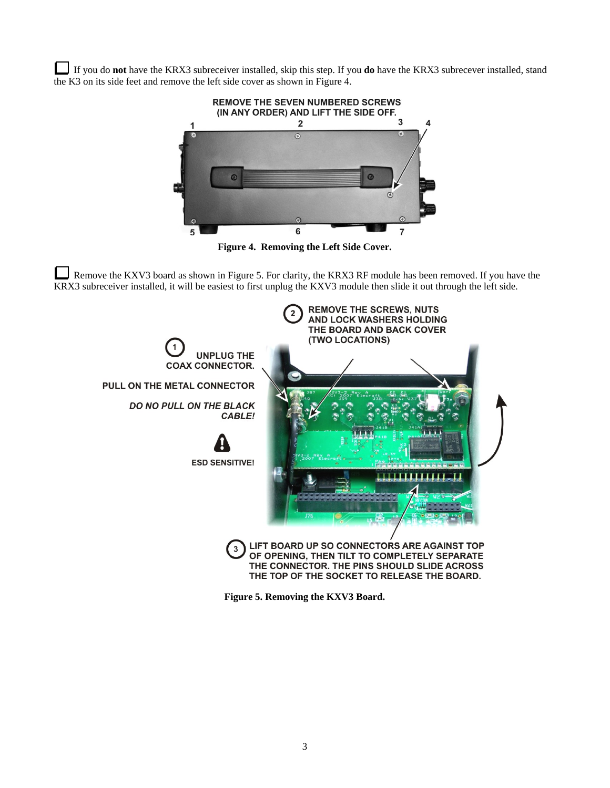If you do **not** have the KRX3 subreceiver installed, skip this step. If you **do** have the KRX3 subrecever installed, stand the K3 on its side feet and remove the left side cover as shown in Figure 4.



**Figure 4. Removing the Left Side Cover.** 

Remove the KXV3 board as shown in Figure 5. For clarity, the KRX3 RF module has been removed. If you have the KRX3 subreceiver installed, it will be easiest to first unplug the KXV3 module then slide it out through the left side.



**Figure 5. Removing the KXV3 Board.**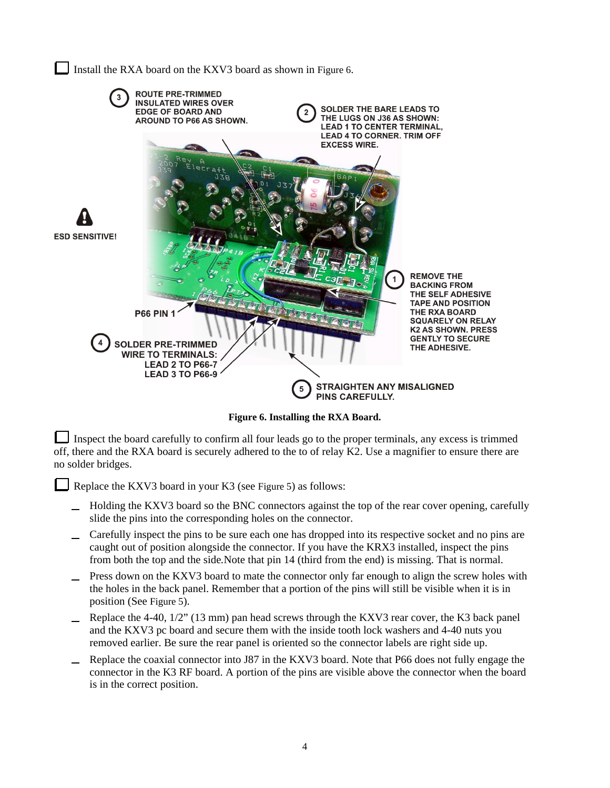Install the RXA board on the KXV3 board as shown in Figure 6.



**Figure 6. Installing the RXA Board.**

Inspect the board carefully to confirm all four leads go to the proper terminals, any excess is trimmed off, there and the RXA board is securely adhered to the to of relay K2. Use a magnifier to ensure there are no solder bridges.

Replace the KXV3 board in your K3 (see Figure 5) as follows:

- Holding the KXV3 board so the BNC connectors against the top of the rear cover opening, carefully slide the pins into the corresponding holes on the connector.
- Carefully inspect the pins to be sure each one has dropped into its respective socket and no pins are caught out of position alongside the connector. If you have the KRX3 installed, inspect the pins from both the top and the side*.*Note that pin 14 (third from the end) is missing. That is normal.
- Press down on the KXV3 board to mate the connector only far enough to align the screw holes with the holes in the back panel. Remember that a portion of the pins will still be visible when it is in position (See Figure 5).
- Replace the 4-40, 1/2" (13 mm) pan head screws through the KXV3 rear cover, the K3 back panel and the KXV3 pc board and secure them with the inside tooth lock washers and 4-40 nuts you removed earlier. Be sure the rear panel is oriented so the connector labels are right side up.
- Replace the coaxial connector into J87 in the KXV3 board. Note that P66 does not fully engage the connector in the K3 RF board. A portion of the pins are visible above the connector when the board is in the correct position.